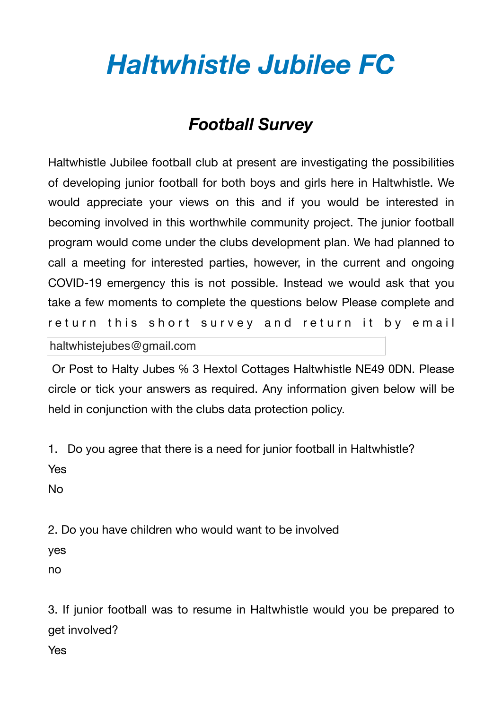## *Haltwhistle Jubilee FC*

## *Football Survey*

Haltwhistle Jubilee football club at present are investigating the possibilities of developing junior football for both boys and girls here in Haltwhistle. We would appreciate your views on this and if you would be interested in becoming involved in this worthwhile community project. The junior football program would come under the clubs development plan. We had planned to call a meeting for interested parties, however, in the current and ongoing COVID-19 emergency this is not possible. Instead we would ask that you take a few moments to complete the questions below Please complete and return this short survey and return it by email

haltwhistejubes@gmail.com

 Or Post to Halty Jubes ℅ 3 Hextol Cottages Haltwhistle NE49 0DN. Please circle or tick your answers as required. Any information given below will be held in conjunction with the clubs data protection policy.

1. Do you agree that there is a need for junior football in Haltwhistle?

Yes

No

2. Do you have children who would want to be involved

yes

no

3. If junior football was to resume in Haltwhistle would you be prepared to get involved?

Yes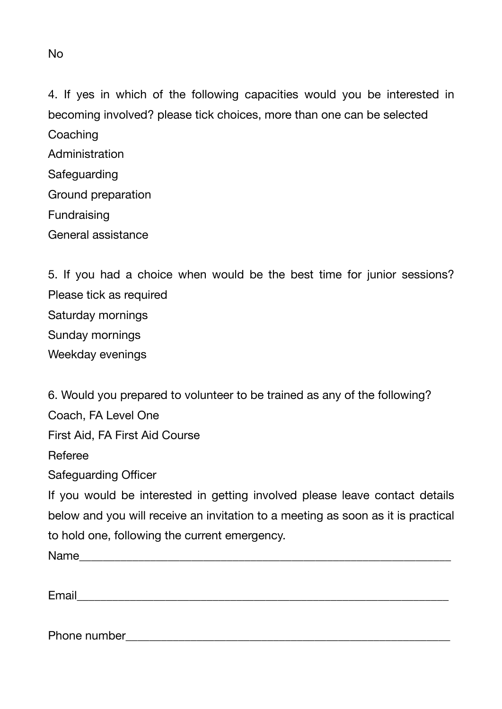4. If yes in which of the following capacities would you be interested in becoming involved? please tick choices, more than one can be selected **Coaching** Administration Safeguarding Ground preparation Fundraising General assistance

5. If you had a choice when would be the best time for junior sessions? Please tick as required Saturday mornings Sunday mornings Weekday evenings

6. Would you prepared to volunteer to be trained as any of the following? Coach, FA Level One First Aid, FA First Aid Course Referee Safeguarding Officer If you would be interested in getting involved please leave contact details below and you will receive an invitation to a meeting as soon as it is practical to hold one, following the current emergency. Name

Email\_\_\_\_\_\_\_\_\_\_\_\_\_\_\_\_\_\_\_\_\_\_\_\_\_\_\_\_\_\_\_\_\_\_\_\_\_\_\_\_\_\_\_\_\_\_\_\_\_\_\_\_\_\_\_\_\_\_\_\_\_\_\_

Phone number  $\blacksquare$ 

No